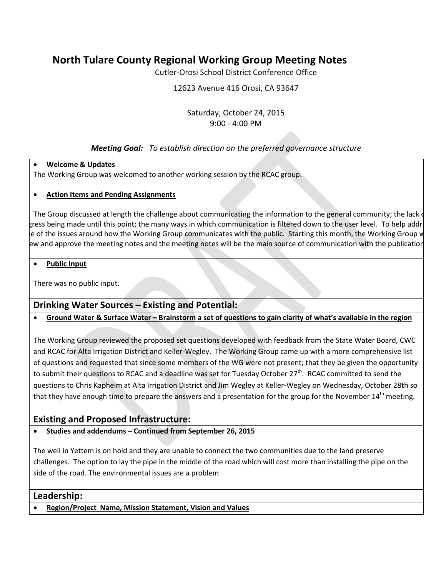# **North Tulare County Regional Working Group Meeting Notes**

Cutler-Orosi School District Conference Office

12623 Avenue 416 Orosi, CA 93647

### Saturday, October 24, 2015 9:00 - 4:00 PM

# *Meeting Goal: To establish direction on the preferred governance structure*

## • **Welcome & Updates**

The Working Group was welcomed to another working session by the RCAC group.

## • **Action Items and Pending Assignments**

The Group discussed at length the challenge about communicating the information to the general community; the lack of gress being made until this point; the many ways in which communication is filtered down to the user level. To help addre e of the issues around how the Working Group communicates with the public. Starting this month, the Working Group w ew and approve the meeting notes and the meeting notes will be the main source of communication with the publication

#### • **Public Input**

There was no public input.

# **Drinking Water Sources – Existing and Potential:**

# • **Ground Water & Surface Water – Brainstorm a set of questions to gain clarity of what's available in the region**

The Working Group reviewed the proposed set questions developed with feedback from the State Water Board, CWC and RCAC for Alta Irrigation District and Keller-Wegley. The Working Group came up with a more comprehensive list of questions and requested that since some members of the WG were not present; that they be given the opportunity to submit their questions to RCAC and a deadline was set for Tuesday October 27<sup>th</sup>. RCAC committed to send the questions to Chris Kapheim at Alta Irrigation District and Jim Wegley at Keller-Wegley on Wednesday, October 28th so that they have enough time to prepare the answers and a presentation for the group for the November 14<sup>th</sup> meeting.

# **Existing and Proposed Infrastructure:**

## • **Studies and addendums – Continued from September 26, 2015**

The well in Yettem is on hold and they are unable to connect the two communities due to the land preserve challenges. The option to lay the pipe in the middle of the road which will cost more than installing the pipe on the side of the road. The environmental issues are a problem.

## **Leadership:**

• **Region/Project Name, Mission Statement, Vision and Values**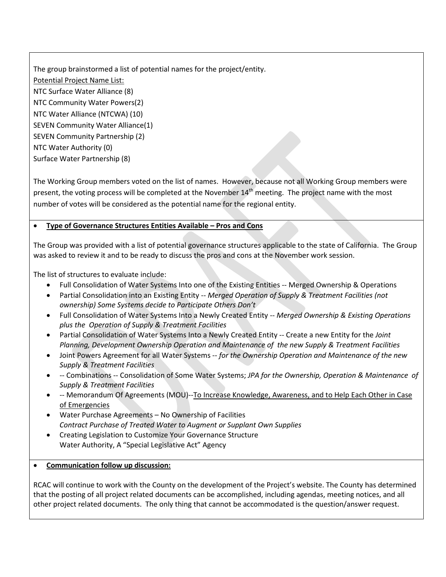The group brainstormed a list of potential names for the project/entity. Potential Project Name List: NTC Surface Water Alliance (8) NTC Community Water Powers(2) NTC Water Alliance (NTCWA) (10) SEVEN Community Water Alliance(1) SEVEN Community Partnership (2) NTC Water Authority (0) Surface Water Partnership (8)

The Working Group members voted on the list of names. However, because not all Working Group members were present, the voting process will be completed at the November  $14<sup>th</sup>$  meeting. The project name with the most number of votes will be considered as the potential name for the regional entity.

#### • **Type of Governance Structures Entities Available – Pros and Cons**

The Group was provided with a list of potential governance structures applicable to the state of California. The Group was asked to review it and to be ready to discuss the pros and cons at the November work session.

The list of structures to evaluate include:

- Full Consolidation of Water Systems Into one of the Existing Entities -- Merged Ownership & Operations
- Partial Consolidation into an Existing Entity -- *Merged Operation of Supply & Treatment Facilities (not ownership) Some Systems decide to Participate Others Don't*
- Full Consolidation of Water Systems Into a Newly Created Entity -- *Merged Ownership & Existing Operations plus the Operation of Supply & Treatment Facilities*
- Partial Consolidation of Water Systems Into a Newly Created Entity -- Create a new Entity for the *Joint Planning, Development Ownership Operation and Maintenance of the new Supply & Treatment Facilities*
- Joint Powers Agreement for all Water Systems -- *for the Ownership Operation and Maintenance of the new Supply & Treatment Facilities*
- -- Combinations -- Consolidation of Some Water Systems; *JPA for the Ownership, Operation & Maintenance of Supply & Treatment Facilities*
- -- Memorandum Of Agreements (MOU)--To Increase Knowledge, Awareness, and to Help Each Other in Case of Emergencies
- Water Purchase Agreements No Ownership of Facilities *Contract Purchase of Treated Water to Augment or Supplant Own Supplies*
- Creating Legislation to Customize Your Governance Structure Water Authority, A "Special Legislative Act" Agency

#### • **Communication follow up discussion:**

RCAC will continue to work with the County on the development of the Project's website. The County has determined that the posting of all project related documents can be accomplished, including agendas, meeting notices, and all other project related documents. The only thing that cannot be accommodated is the question/answer request.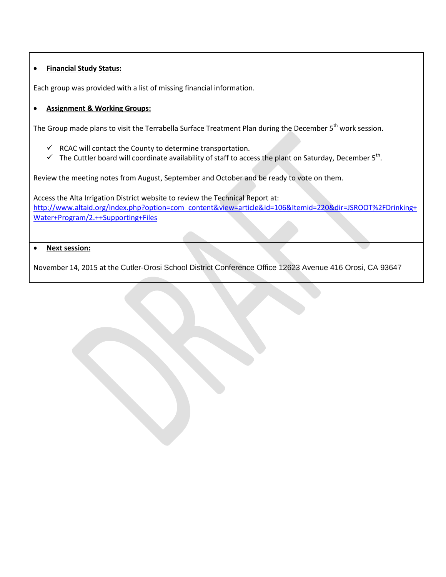#### • **Financial Study Status:**

Each group was provided with a list of missing financial information.

#### • **Assignment & Working Groups:**

The Group made plans to visit the Terrabella Surface Treatment Plan during the December 5<sup>th</sup> work session.

- $\checkmark$  RCAC will contact the County to determine transportation.
- $\checkmark$  The Cuttler board will coordinate availability of staff to access the plant on Saturday, December 5<sup>th</sup>.

Review the meeting notes from August, September and October and be ready to vote on them.

Access the Alta Irrigation District website to review the Technical Report at: [http://www.altaid.org/index.php?option=com\\_content&view=article&id=106&Itemid=220&dir=JSROOT%2FDrinking+](http://www.altaid.org/index.php?option=com_content&view=article&id=106&Itemid=220&dir=JSROOT%2FDrinking+Water+Program/2.++Supporting+Files) [Water+Program/2.++Supporting+Files](http://www.altaid.org/index.php?option=com_content&view=article&id=106&Itemid=220&dir=JSROOT%2FDrinking+Water+Program/2.++Supporting+Files)

#### • **Next session:**

November 14, 2015 at the Cutler-Orosi School District Conference Office 12623 Avenue 416 Orosi, CA 93647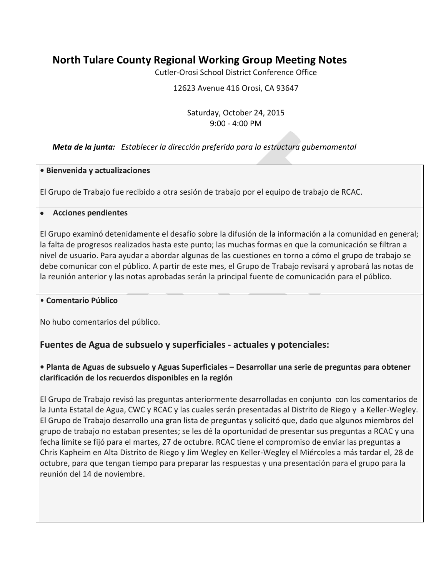# **North Tulare County Regional Working Group Meeting Notes**

Cutler-Orosi School District Conference Office

12623 Avenue 416 Orosi, CA 93647

### Saturday, October 24, 2015 9:00 - 4:00 PM

## *Meta de la junta: Establecer la dirección preferida para la estructura gubernamental*

#### **• Bienvenida y actualizaciones**

El Grupo de Trabajo fue recibido a otra sesión de trabajo por el equipo de trabajo de RCAC.

#### • **Acciones pendientes**

El Grupo examinó detenidamente el desafío sobre la difusión de la información a la comunidad en general; la falta de progresos realizados hasta este punto; las muchas formas en que la comunicación se filtran a nivel de usuario. Para ayudar a abordar algunas de las cuestiones en torno a cómo el grupo de trabajo se debe comunicar con el público. A partir de este mes, el Grupo de Trabajo revisará y aprobará las notas de la reunión anterior y las notas aprobadas serán la principal fuente de comunicación para el público.

#### • **Comentario Público**

No hubo comentarios del público.

# **Fuentes de Agua de subsuelo y superficiales - actuales y potenciales:**

## **• Planta de Aguas de subsuelo y Aguas Superficiales – Desarrollar una serie de preguntas para obtener clarificación de los recuerdos disponibles en la región**

El Grupo de Trabajo revisó las preguntas anteriormente desarrolladas en conjunto con los comentarios de la Junta Estatal de Agua, CWC y RCAC y las cuales serán presentadas al Distrito de Riego y a Keller-Wegley. El Grupo de Trabajo desarrollo una gran lista de preguntas y solicitó que, dado que algunos miembros del grupo de trabajo no estaban presentes; se les dé la oportunidad de presentar sus preguntas a RCAC y una fecha límite se fijó para el martes, 27 de octubre. RCAC tiene el compromiso de enviar las preguntas a Chris Kapheim en Alta Distrito de Riego y Jim Wegley en Keller-Wegley el Miércoles a más tardar el, 28 de octubre, para que tengan tiempo para preparar las respuestas y una presentación para el grupo para la reunión del 14 de noviembre.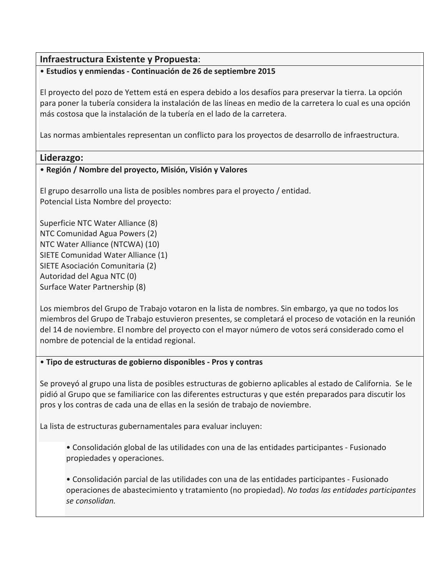# **Infraestructura Existente y Propuesta**:

## • **Estudios y enmiendas - Continuación de 26 de septiembre 2015**

El proyecto del pozo de Yettem está en espera debido a los desafíos para preservar la tierra. La opción para poner la tubería considera la instalación de las líneas en medio de la carretera lo cual es una opción más costosa que la instalación de la tubería en el lado de la carretera.

Las normas ambientales representan un conflicto para los proyectos de desarrollo de infraestructura.

## **Liderazgo:**

## • **Región / Nombre del proyecto, Misión, Visión y Valores**

El grupo desarrollo una lista de posibles nombres para el proyecto / entidad. Potencial Lista Nombre del proyecto:

Superficie NTC Water Alliance (8) NTC Comunidad Agua Powers (2) NTC Water Alliance (NTCWA) (10) SIETE Comunidad Water Alliance (1) SIETE Asociación Comunitaria (2) Autoridad del Agua NTC (0) Surface Water Partnership (8)

Los miembros del Grupo de Trabajo votaron en la lista de nombres. Sin embargo, ya que no todos los miembros del Grupo de Trabajo estuvieron presentes, se completará el proceso de votación en la reunión del 14 de noviembre. El nombre del proyecto con el mayor número de votos será considerado como el nombre de potencial de la entidad regional.

#### • **Tipo de estructuras de gobierno disponibles - Pros y contras**

Se proveyó al grupo una lista de posibles estructuras de gobierno aplicables al estado de California. Se le pidió al Grupo que se familiarice con las diferentes estructuras y que estén preparados para discutir los pros y los contras de cada una de ellas en la sesión de trabajo de noviembre.

La lista de estructuras gubernamentales para evaluar incluyen:

• Consolidación global de las utilidades con una de las entidades participantes - Fusionado propiedades y operaciones.

• Consolidación parcial de las utilidades con una de las entidades participantes - Fusionado operaciones de abastecimiento y tratamiento (no propiedad). *No todas las entidades participantes se consolidan.*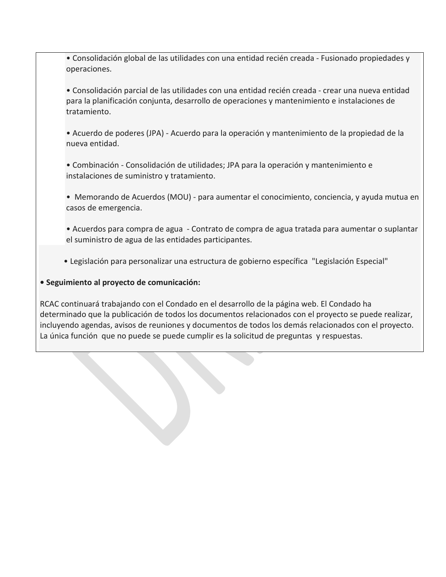• Consolidación global de las utilidades con una entidad recién creada - Fusionado propiedades y operaciones.

• Consolidación parcial de las utilidades con una entidad recién creada - crear una nueva entidad para la planificación conjunta, desarrollo de operaciones y mantenimiento e instalaciones de tratamiento.

• Acuerdo de poderes (JPA) - Acuerdo para la operación y mantenimiento de la propiedad de la nueva entidad.

• Combinación - Consolidación de utilidades; JPA para la operación y mantenimiento e instalaciones de suministro y tratamiento.

• Memorando de Acuerdos (MOU) - para aumentar el conocimiento, conciencia, y ayuda mutua en casos de emergencia.

• Acuerdos para compra de agua - Contrato de compra de agua tratada para aumentar o suplantar el suministro de agua de las entidades participantes.

• Legislación para personalizar una estructura de gobierno específica "Legislación Especial"

## **• Seguimiento al proyecto de comunicación:**

RCAC continuará trabajando con el Condado en el desarrollo de la página web. El Condado ha determinado que la publicación de todos los documentos relacionados con el proyecto se puede realizar, incluyendo agendas, avisos de reuniones y documentos de todos los demás relacionados con el proyecto. La única función que no puede se puede cumplir es la solicitud de preguntas y respuestas.